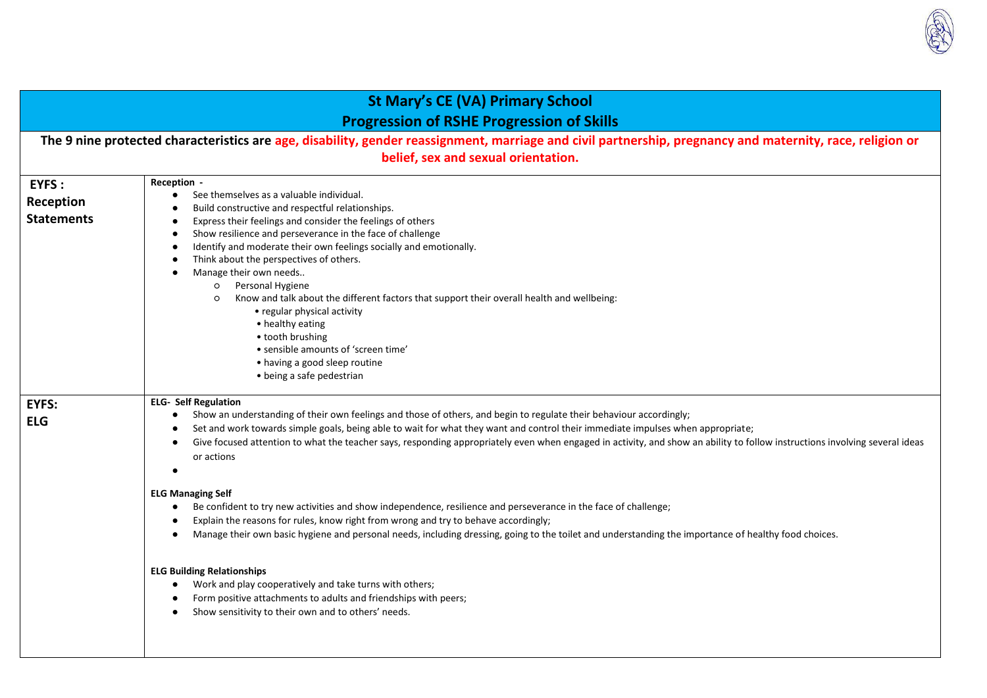|                                   | <b>St Mary's CE (VA) Primary School</b><br><b>Progression of RSHE Progression of Skills</b>                                                                                                                                                                                                                                                                                                                                                                                                                                                                                                                                                                                                                                                                                                                                                                                      |
|-----------------------------------|----------------------------------------------------------------------------------------------------------------------------------------------------------------------------------------------------------------------------------------------------------------------------------------------------------------------------------------------------------------------------------------------------------------------------------------------------------------------------------------------------------------------------------------------------------------------------------------------------------------------------------------------------------------------------------------------------------------------------------------------------------------------------------------------------------------------------------------------------------------------------------|
|                                   | The 9 nine protected characteristics are age, disability, gender reassignment, marriage and civil partnership, pregnancy and maternity, race, religion or<br>belief, sex and sexual orientation.                                                                                                                                                                                                                                                                                                                                                                                                                                                                                                                                                                                                                                                                                 |
| <b>FS:</b><br>ception<br>atements | Reception -<br>See themselves as a valuable individual.<br>٠<br>Build constructive and respectful relationships.<br>Express their feelings and consider the feelings of others<br>Show resilience and perseverance in the face of challenge<br>Identify and moderate their own feelings socially and emotionally.<br>Think about the perspectives of others.<br>Manage their own needs<br>Personal Hygiene<br>$\circ$<br>Know and talk about the different factors that support their overall health and wellbeing:<br>$\circ$<br>• regular physical activity<br>• healthy eating<br>• tooth brushing<br>· sensible amounts of 'screen time'<br>• having a good sleep routine<br>• being a safe pedestrian                                                                                                                                                                       |
| FS:<br>G                          | <b>ELG- Self Regulation</b><br>Show an understanding of their own feelings and those of others, and begin to regulate their behaviour accordingly;<br>Set and work towards simple goals, being able to wait for what they want and control their immediate impulses when appropriate;<br>Give focused attention to what the teacher says, responding appropriately even when engaged in activity, and show an ability to follow instructions involving several ideas<br>or actions<br><b>ELG Managing Self</b><br>Be confident to try new activities and show independence, resilience and perseverance in the face of challenge;<br>Explain the reasons for rules, know right from wrong and try to behave accordingly;<br>Manage their own basic hygiene and personal needs, including dressing, going to the toilet and understanding the importance of healthy food choices. |
|                                   | <b>ELG Building Relationships</b><br>Work and play cooperatively and take turns with others;<br>Form positive attachments to adults and friendships with peers;<br>Show sensitivity to their own and to others' needs.                                                                                                                                                                                                                                                                                                                                                                                                                                                                                                                                                                                                                                                           |

**EYFS : Reception Statements**

**EYFS: ELG**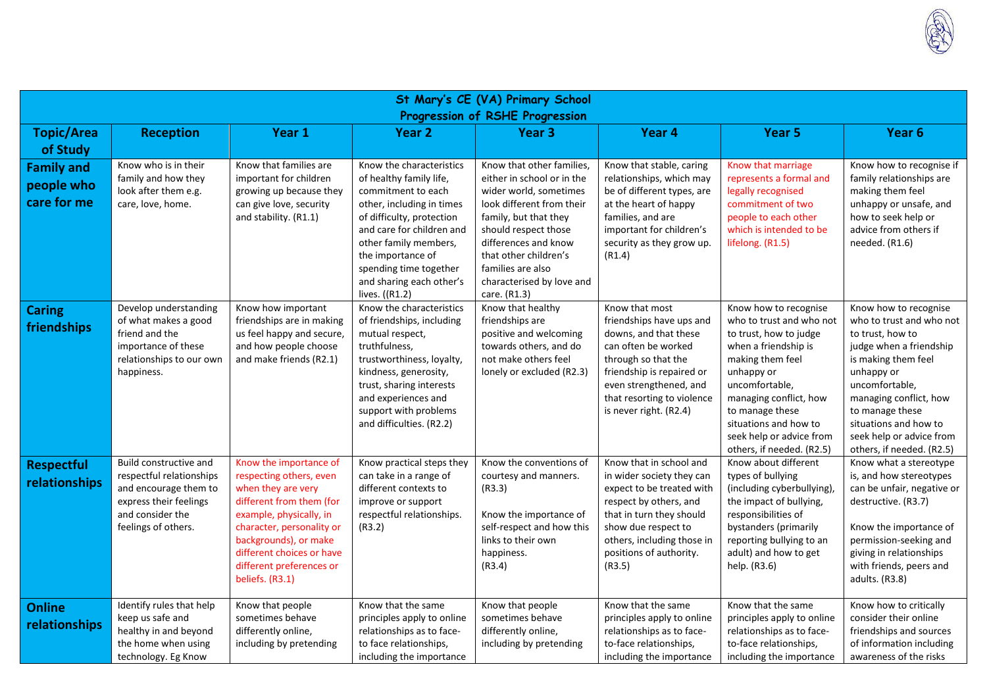| St Mary's CE (VA) Primary School<br>Progression of RSHE Progression |                                                                                                                                                  |                                                                                                                                                                                                                                                                  |                                                                                                                                                                                                                                                                                        |                                                                                                                                                                                                                                                                                    |                                                                                                                                                                                                                                   |                                                                                                                                                                                                                                                                                        |                                                                                                                                                                                                                                                                                        |  |  |
|---------------------------------------------------------------------|--------------------------------------------------------------------------------------------------------------------------------------------------|------------------------------------------------------------------------------------------------------------------------------------------------------------------------------------------------------------------------------------------------------------------|----------------------------------------------------------------------------------------------------------------------------------------------------------------------------------------------------------------------------------------------------------------------------------------|------------------------------------------------------------------------------------------------------------------------------------------------------------------------------------------------------------------------------------------------------------------------------------|-----------------------------------------------------------------------------------------------------------------------------------------------------------------------------------------------------------------------------------|----------------------------------------------------------------------------------------------------------------------------------------------------------------------------------------------------------------------------------------------------------------------------------------|----------------------------------------------------------------------------------------------------------------------------------------------------------------------------------------------------------------------------------------------------------------------------------------|--|--|
| <b>Topic/Area</b><br>of Study                                       | <b>Reception</b>                                                                                                                                 | Year 1                                                                                                                                                                                                                                                           | Year <sub>2</sub>                                                                                                                                                                                                                                                                      | Year <sub>3</sub>                                                                                                                                                                                                                                                                  | Year 4                                                                                                                                                                                                                            | Year <sub>5</sub>                                                                                                                                                                                                                                                                      | Year <sub>6</sub>                                                                                                                                                                                                                                                                      |  |  |
| <b>Family and</b><br>people who<br>care for me                      | Know who is in their<br>family and how they<br>look after them e.g.<br>care, love, home.                                                         | Know that families are<br>important for children<br>growing up because they<br>can give love, security<br>and stability. (R1.1)                                                                                                                                  | Know the characteristics<br>of healthy family life,<br>commitment to each<br>other, including in times<br>of difficulty, protection<br>and care for children and<br>other family members,<br>the importance of<br>spending time together<br>and sharing each other's<br>lives. ((R1.2) | Know that other families,<br>either in school or in the<br>wider world, sometimes<br>look different from their<br>family, but that they<br>should respect those<br>differences and know<br>that other children's<br>families are also<br>characterised by love and<br>care. (R1.3) | Know that stable, caring<br>relationships, which may<br>be of different types, are<br>at the heart of happy<br>families, and are<br>important for children's<br>security as they grow up.<br>(R1.4)                               | Know that marriage<br>represents a formal and<br>legally recognised<br>commitment of two<br>people to each other<br>which is intended to be<br>lifelong. (R1.5)                                                                                                                        | Know how to recognise if<br>family relationships are<br>making them feel<br>unhappy or unsafe, and<br>how to seek help or<br>advice from others if<br>needed. (R1.6)                                                                                                                   |  |  |
| <b>Caring</b><br>friendships                                        | Develop understanding<br>of what makes a good<br>friend and the<br>importance of these<br>relationships to our own<br>happiness.                 | Know how important<br>friendships are in making<br>us feel happy and secure,<br>and how people choose<br>and make friends (R2.1)                                                                                                                                 | Know the characteristics<br>of friendships, including<br>mutual respect,<br>truthfulness,<br>trustworthiness, loyalty,<br>kindness, generosity,<br>trust, sharing interests<br>and experiences and<br>support with problems<br>and difficulties. (R2.2)                                | Know that healthy<br>friendships are<br>positive and welcoming<br>towards others, and do<br>not make others feel<br>lonely or excluded (R2.3)                                                                                                                                      | Know that most<br>friendships have ups and<br>downs, and that these<br>can often be worked<br>through so that the<br>friendship is repaired or<br>even strengthened, and<br>that resorting to violence<br>is never right. (R2.4)  | Know how to recognise<br>who to trust and who not<br>to trust, how to judge<br>when a friendship is<br>making them feel<br>unhappy or<br>uncomfortable,<br>managing conflict, how<br>to manage these<br>situations and how to<br>seek help or advice from<br>others, if needed. (R2.5) | Know how to recognise<br>who to trust and who not<br>to trust, how to<br>judge when a friendship<br>is making them feel<br>unhappy or<br>uncomfortable,<br>managing conflict, how<br>to manage these<br>situations and how to<br>seek help or advice from<br>others, if needed. (R2.5) |  |  |
| <b>Respectful</b><br>relationships                                  | Build constructive and<br>respectful relationships<br>and encourage them to<br>express their feelings<br>and consider the<br>feelings of others. | Know the importance of<br>respecting others, even<br>when they are very<br>different from them (for<br>example, physically, in<br>character, personality or<br>backgrounds), or make<br>different choices or have<br>different preferences or<br>beliefs. (R3.1) | Know practical steps they<br>can take in a range of<br>different contexts to<br>improve or support<br>respectful relationships.<br>(R3.2)                                                                                                                                              | Know the conventions of<br>courtesy and manners.<br>(R3.3)<br>Know the importance of<br>self-respect and how this<br>links to their own<br>happiness.<br>(R3.4)                                                                                                                    | Know that in school and<br>in wider society they can<br>expect to be treated with<br>respect by others, and<br>that in turn they should<br>show due respect to<br>others, including those in<br>positions of authority.<br>(R3.5) | Know about different<br>types of bullying<br>(including cyberbullying),<br>the impact of bullying,<br>responsibilities of<br>bystanders (primarily<br>reporting bullying to an<br>adult) and how to get<br>help. (R3.6)                                                                | Know what a stereotype<br>is, and how stereotypes<br>can be unfair, negative or<br>destructive. (R3.7)<br>Know the importance of<br>permission-seeking and<br>giving in relationships<br>with friends, peers and<br>adults. (R3.8)                                                     |  |  |
| <b>Online</b><br>relationships                                      | Identify rules that help<br>keep us safe and<br>healthy in and beyond<br>the home when using<br>technology. Eg Know                              | Know that people<br>sometimes behave<br>differently online,<br>including by pretending                                                                                                                                                                           | Know that the same<br>principles apply to online<br>relationships as to face-<br>to face relationships,<br>including the importance                                                                                                                                                    | Know that people<br>sometimes behave<br>differently online,<br>including by pretending                                                                                                                                                                                             | Know that the same<br>principles apply to online<br>relationships as to face-<br>to-face relationships,<br>including the importance                                                                                               | Know that the same<br>principles apply to online<br>relationships as to face-<br>to-face relationships,<br>including the importance                                                                                                                                                    | Know how to critically<br>consider their online<br>friendships and sources<br>of information including<br>awareness of the risks                                                                                                                                                       |  |  |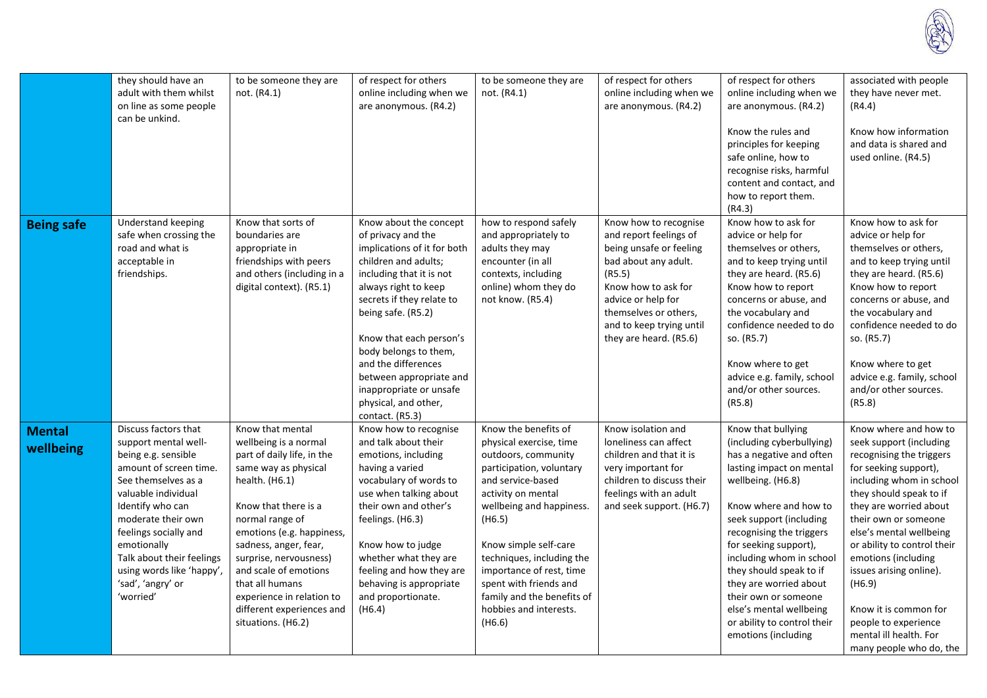

|                            | they should have an<br>adult with them whilst<br>on line as some people<br>can be unkind.                                                                                                                                                                                                                                 | to be someone they are<br>not. (R4.1)                                                                                                                                                                                                                                                                                                                                    | of respect for others<br>online including when we<br>are anonymous. (R4.2)                                                                                                                                                                                                                                                                                                             | to be someone they are<br>not. (R4.1)                                                                                                                                                                                                                                                                                                                             | of respect for others<br>online including when we<br>are anonymous. (R4.2)                                                                                                                                                               | of respect for others<br>online including when we<br>are anonymous. (R4.2)<br>Know the rules and<br>principles for keeping<br>safe online, how to<br>recognise risks, harmful<br>content and contact, and                                                                                                                                                                                                                       | associated with people<br>they have never met.<br>(R4.4)<br>Know how information<br>and data is shared and<br>used online. (R4.5)                                                                                                                                                                                                                                                                                                          |
|----------------------------|---------------------------------------------------------------------------------------------------------------------------------------------------------------------------------------------------------------------------------------------------------------------------------------------------------------------------|--------------------------------------------------------------------------------------------------------------------------------------------------------------------------------------------------------------------------------------------------------------------------------------------------------------------------------------------------------------------------|----------------------------------------------------------------------------------------------------------------------------------------------------------------------------------------------------------------------------------------------------------------------------------------------------------------------------------------------------------------------------------------|-------------------------------------------------------------------------------------------------------------------------------------------------------------------------------------------------------------------------------------------------------------------------------------------------------------------------------------------------------------------|------------------------------------------------------------------------------------------------------------------------------------------------------------------------------------------------------------------------------------------|---------------------------------------------------------------------------------------------------------------------------------------------------------------------------------------------------------------------------------------------------------------------------------------------------------------------------------------------------------------------------------------------------------------------------------|--------------------------------------------------------------------------------------------------------------------------------------------------------------------------------------------------------------------------------------------------------------------------------------------------------------------------------------------------------------------------------------------------------------------------------------------|
| <b>Being safe</b>          | <b>Understand keeping</b><br>safe when crossing the<br>road and what is<br>acceptable in<br>friendships.                                                                                                                                                                                                                  | Know that sorts of<br>boundaries are<br>appropriate in<br>friendships with peers<br>and others (including in a<br>digital context). (R5.1)                                                                                                                                                                                                                               | Know about the concept<br>of privacy and the<br>implications of it for both<br>children and adults;<br>including that it is not<br>always right to keep<br>secrets if they relate to<br>being safe. (R5.2)<br>Know that each person's<br>body belongs to them,<br>and the differences<br>between appropriate and<br>inappropriate or unsafe<br>physical, and other,<br>contact. (R5.3) | how to respond safely<br>and appropriately to<br>adults they may<br>encounter (in all<br>contexts, including<br>online) whom they do<br>not know. (R5.4)                                                                                                                                                                                                          | Know how to recognise<br>and report feelings of<br>being unsafe or feeling<br>bad about any adult.<br>(R5.5)<br>Know how to ask for<br>advice or help for<br>themselves or others,<br>and to keep trying until<br>they are heard. (R5.6) | how to report them.<br>(R4.3)<br>Know how to ask for<br>advice or help for<br>themselves or others,<br>and to keep trying until<br>they are heard. (R5.6)<br>Know how to report<br>concerns or abuse, and<br>the vocabulary and<br>confidence needed to do<br>so. (R5.7)<br>Know where to get<br>advice e.g. family, school<br>and/or other sources.<br>(R5.8)                                                                  | Know how to ask for<br>advice or help for<br>themselves or others,<br>and to keep trying until<br>they are heard. (R5.6)<br>Know how to report<br>concerns or abuse, and<br>the vocabulary and<br>confidence needed to do<br>so. (R5.7)<br>Know where to get<br>advice e.g. family, school<br>and/or other sources.<br>(R5.8)                                                                                                              |
| <b>Mental</b><br>wellbeing | Discuss factors that<br>support mental well-<br>being e.g. sensible<br>amount of screen time.<br>See themselves as a<br>valuable individual<br>Identify who can<br>moderate their own<br>feelings socially and<br>emotionally<br>Talk about their feelings<br>using words like 'happy',<br>'sad', 'angry' or<br>'worried' | Know that mental<br>wellbeing is a normal<br>part of daily life, in the<br>same way as physical<br>health. (H6.1)<br>Know that there is a<br>normal range of<br>emotions (e.g. happiness,<br>sadness, anger, fear,<br>surprise, nervousness)<br>and scale of emotions<br>that all humans<br>experience in relation to<br>different experiences and<br>situations. (H6.2) | Know how to recognise<br>and talk about their<br>emotions, including<br>having a varied<br>vocabulary of words to<br>use when talking about<br>their own and other's<br>feelings. (H6.3)<br>Know how to judge<br>whether what they are<br>feeling and how they are<br>behaving is appropriate<br>and proportionate.<br>(H6.4)                                                          | Know the benefits of<br>physical exercise, time<br>outdoors, community<br>participation, voluntary<br>and service-based<br>activity on mental<br>wellbeing and happiness.<br>(H6.5)<br>Know simple self-care<br>techniques, including the<br>importance of rest, time<br>spent with friends and<br>family and the benefits of<br>hobbies and interests.<br>(H6.6) | Know isolation and<br>loneliness can affect<br>children and that it is<br>very important for<br>children to discuss their<br>feelings with an adult<br>and seek support. (H6.7)                                                          | Know that bullying<br>(including cyberbullying)<br>has a negative and often<br>lasting impact on mental<br>wellbeing. (H6.8)<br>Know where and how to<br>seek support (including<br>recognising the triggers<br>for seeking support),<br>including whom in school<br>they should speak to if<br>they are worried about<br>their own or someone<br>else's mental wellbeing<br>or ability to control their<br>emotions (including | Know where and how to<br>seek support (including<br>recognising the triggers<br>for seeking support),<br>including whom in school<br>they should speak to if<br>they are worried about<br>their own or someone<br>else's mental wellbeing<br>or ability to control their<br>emotions (including<br>issues arising online).<br>(H6.9)<br>Know it is common for<br>people to experience<br>mental ill health. For<br>many people who do, the |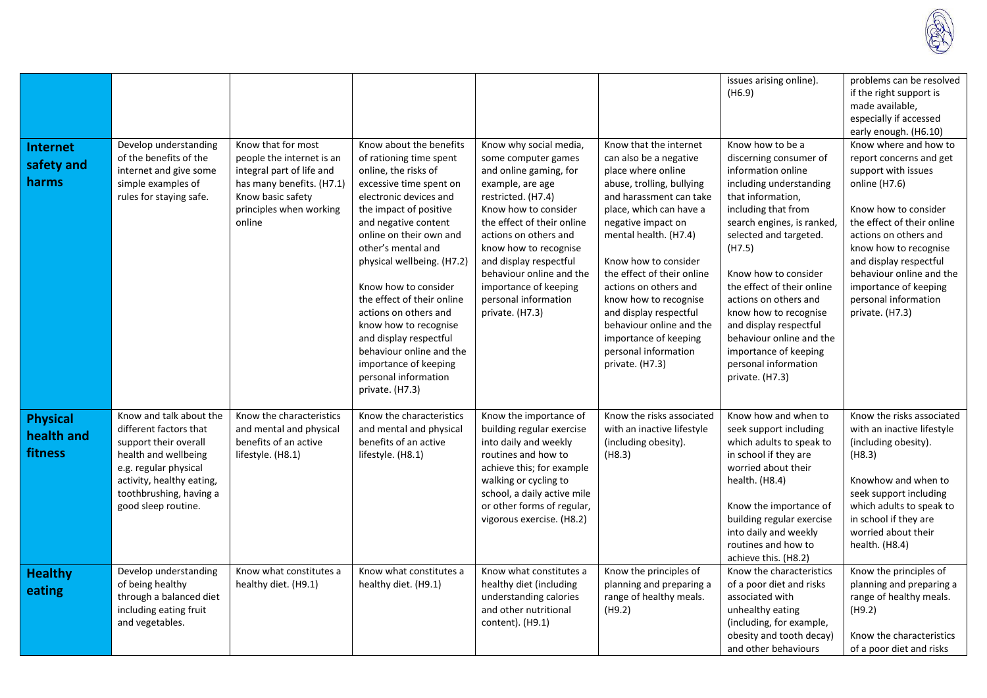

| Internet<br>safety and<br>harms          | Develop understanding<br>of the benefits of the<br>internet and give some<br>simple examples of<br>rules for staying safe.                                                                                 | Know that for most<br>people the internet is an<br>integral part of life and<br>has many benefits. (H7.1)<br>Know basic safety<br>principles when working<br>online | Know about the benefits<br>of rationing time spent<br>online, the risks of<br>excessive time spent on<br>electronic devices and<br>the impact of positive<br>and negative content<br>online on their own and<br>other's mental and<br>physical wellbeing. (H7.2)<br>Know how to consider<br>the effect of their online<br>actions on others and<br>know how to recognise<br>and display respectful<br>behaviour online and the | Know why social media,<br>some computer games<br>and online gaming, for<br>example, are age<br>restricted. (H7.4)<br>Know how to consider<br>the effect of their online<br>actions on others and<br>know how to recognise<br>and display respectful<br>behaviour online and the<br>importance of keeping<br>personal information<br>private. (H7.3) | Know that the internet<br>can also be a negative<br>place where online<br>abuse, trolling, bullying<br>and harassment can take<br>place, which can have a<br>negative impact on<br>mental health. (H7.4)<br>Know how to consider<br>the effect of their online<br>actions on others and<br>know how to recognise<br>and display respectful<br>behaviour online and the<br>importance of keeping<br>personal information | issues arising online).<br>(H6.9)<br>Know how to be a<br>discerning consumer of<br>information online<br>including understanding<br>that information,<br>including that from<br>search engines, is ranked,<br>selected and targeted.<br>(H7.5)<br>Know how to consider<br>the effect of their online<br>actions on others and<br>know how to recognise<br>and display respectful<br>behaviour online and the<br>importance of keeping | problems can be resolved<br>if the right support is<br>made available,<br>especially if accessed<br>early enough. (H6.10)<br>Know where and how to<br>report concerns and get<br>support with issues<br>online (H7.6)<br>Know how to consider<br>the effect of their online<br>actions on others and<br>know how to recognise<br>and display respectful<br>behaviour online and the<br>importance of keeping<br>personal information<br>private. (H7.3) |
|------------------------------------------|------------------------------------------------------------------------------------------------------------------------------------------------------------------------------------------------------------|---------------------------------------------------------------------------------------------------------------------------------------------------------------------|--------------------------------------------------------------------------------------------------------------------------------------------------------------------------------------------------------------------------------------------------------------------------------------------------------------------------------------------------------------------------------------------------------------------------------|-----------------------------------------------------------------------------------------------------------------------------------------------------------------------------------------------------------------------------------------------------------------------------------------------------------------------------------------------------|-------------------------------------------------------------------------------------------------------------------------------------------------------------------------------------------------------------------------------------------------------------------------------------------------------------------------------------------------------------------------------------------------------------------------|---------------------------------------------------------------------------------------------------------------------------------------------------------------------------------------------------------------------------------------------------------------------------------------------------------------------------------------------------------------------------------------------------------------------------------------|---------------------------------------------------------------------------------------------------------------------------------------------------------------------------------------------------------------------------------------------------------------------------------------------------------------------------------------------------------------------------------------------------------------------------------------------------------|
| <b>Physical</b><br>health and<br>fitness | Know and talk about the<br>different factors that<br>support their overall<br>health and wellbeing<br>e.g. regular physical<br>activity, healthy eating,<br>toothbrushing, having a<br>good sleep routine. | Know the characteristics<br>and mental and physical<br>benefits of an active<br>lifestyle. (H8.1)                                                                   | importance of keeping<br>personal information<br>private. (H7.3)<br>Know the characteristics<br>and mental and physical<br>benefits of an active<br>lifestyle. (H8.1)                                                                                                                                                                                                                                                          | Know the importance of<br>building regular exercise<br>into daily and weekly<br>routines and how to<br>achieve this; for example<br>walking or cycling to<br>school, a daily active mile<br>or other forms of regular,<br>vigorous exercise. (H8.2)                                                                                                 | private. (H7.3)<br>Know the risks associated<br>with an inactive lifestyle<br>(including obesity).<br>(H8.3)                                                                                                                                                                                                                                                                                                            | personal information<br>private. (H7.3)<br>Know how and when to<br>seek support including<br>which adults to speak to<br>in school if they are<br>worried about their<br>health. (H8.4)<br>Know the importance of<br>building regular exercise<br>into daily and weekly<br>routines and how to<br>achieve this. (H8.2)                                                                                                                | Know the risks associated<br>with an inactive lifestyle<br>(including obesity).<br>(H8.3)<br>Knowhow and when to<br>seek support including<br>which adults to speak to<br>in school if they are<br>worried about their<br>health. (H8.4)                                                                                                                                                                                                                |
| <b>Healthy</b><br>eating                 | Develop understanding<br>of being healthy<br>through a balanced diet<br>including eating fruit<br>and vegetables.                                                                                          | Know what constitutes a<br>healthy diet. (H9.1)                                                                                                                     | Know what constitutes a<br>healthy diet. (H9.1)                                                                                                                                                                                                                                                                                                                                                                                | Know what constitutes a<br>healthy diet (including<br>understanding calories<br>and other nutritional<br>content). (H9.1)                                                                                                                                                                                                                           | Know the principles of<br>planning and preparing a<br>range of healthy meals.<br>(H9.2)                                                                                                                                                                                                                                                                                                                                 | Know the characteristics<br>of a poor diet and risks<br>associated with<br>unhealthy eating<br>(including, for example,<br>obesity and tooth decay)<br>and other behaviours                                                                                                                                                                                                                                                           | Know the principles of<br>planning and preparing a<br>range of healthy meals.<br>(H9.2)<br>Know the characteristics<br>of a poor diet and risks                                                                                                                                                                                                                                                                                                         |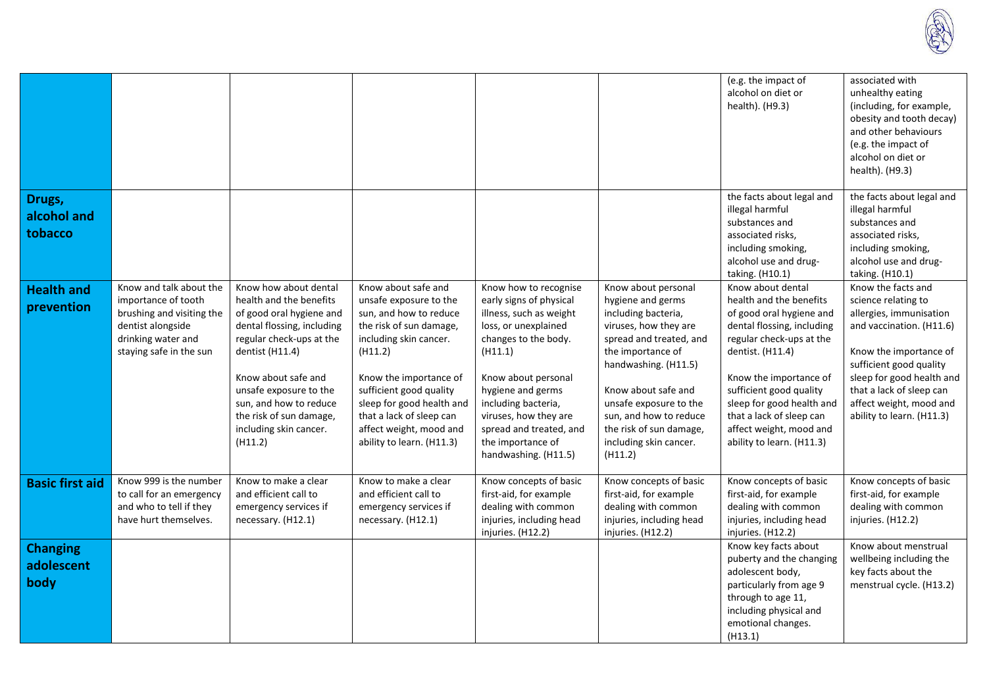

|                                       |                                                                                                                                                   |                                                                                                                                                                                                                                                                                                      |                                                                                                                                                                                                                                                                                                               |                                                                                                                                                                                                                                                                                                            |                                                                                                                                                                                                                                                                                                             | (e.g. the impact of<br>alcohol on diet or<br>health). (H9.3)                                                                                                                                                                                                                                                                 | associated with<br>unhealthy eating<br>(including, for example,<br>obesity and tooth decay)<br>and other behaviours<br>(e.g. the impact of<br>alcohol on diet or<br>health). (H9.3)                                                                                    |
|---------------------------------------|---------------------------------------------------------------------------------------------------------------------------------------------------|------------------------------------------------------------------------------------------------------------------------------------------------------------------------------------------------------------------------------------------------------------------------------------------------------|---------------------------------------------------------------------------------------------------------------------------------------------------------------------------------------------------------------------------------------------------------------------------------------------------------------|------------------------------------------------------------------------------------------------------------------------------------------------------------------------------------------------------------------------------------------------------------------------------------------------------------|-------------------------------------------------------------------------------------------------------------------------------------------------------------------------------------------------------------------------------------------------------------------------------------------------------------|------------------------------------------------------------------------------------------------------------------------------------------------------------------------------------------------------------------------------------------------------------------------------------------------------------------------------|------------------------------------------------------------------------------------------------------------------------------------------------------------------------------------------------------------------------------------------------------------------------|
| Drugs,<br>alcohol and<br>tobacco      |                                                                                                                                                   |                                                                                                                                                                                                                                                                                                      |                                                                                                                                                                                                                                                                                                               |                                                                                                                                                                                                                                                                                                            |                                                                                                                                                                                                                                                                                                             | the facts about legal and<br>illegal harmful<br>substances and<br>associated risks,<br>including smoking,<br>alcohol use and drug-<br>taking. (H10.1)                                                                                                                                                                        | the facts about legal and<br>illegal harmful<br>substances and<br>associated risks,<br>including smoking,<br>alcohol use and drug-<br>taking. (H10.1)                                                                                                                  |
| <b>Health and</b><br>prevention       | Know and talk about the<br>importance of tooth<br>brushing and visiting the<br>dentist alongside<br>drinking water and<br>staying safe in the sun | Know how about dental<br>health and the benefits<br>of good oral hygiene and<br>dental flossing, including<br>regular check-ups at the<br>dentist (H11.4)<br>Know about safe and<br>unsafe exposure to the<br>sun, and how to reduce<br>the risk of sun damage,<br>including skin cancer.<br>(H11.2) | Know about safe and<br>unsafe exposure to the<br>sun, and how to reduce<br>the risk of sun damage,<br>including skin cancer.<br>(H11.2)<br>Know the importance of<br>sufficient good quality<br>sleep for good health and<br>that a lack of sleep can<br>affect weight, mood and<br>ability to learn. (H11.3) | Know how to recognise<br>early signs of physical<br>illness, such as weight<br>loss, or unexplained<br>changes to the body.<br>(H11.1)<br>Know about personal<br>hygiene and germs<br>including bacteria,<br>viruses, how they are<br>spread and treated, and<br>the importance of<br>handwashing. (H11.5) | Know about personal<br>hygiene and germs<br>including bacteria,<br>viruses, how they are<br>spread and treated, and<br>the importance of<br>handwashing. (H11.5)<br>Know about safe and<br>unsafe exposure to the<br>sun, and how to reduce<br>the risk of sun damage,<br>including skin cancer.<br>(H11.2) | Know about dental<br>health and the benefits<br>of good oral hygiene and<br>dental flossing, including<br>regular check-ups at the<br>dentist. (H11.4)<br>Know the importance of<br>sufficient good quality<br>sleep for good health and<br>that a lack of sleep can<br>affect weight, mood and<br>ability to learn. (H11.3) | Know the facts and<br>science relating to<br>allergies, immunisation<br>and vaccination. (H11.6)<br>Know the importance of<br>sufficient good quality<br>sleep for good health and<br>that a lack of sleep can<br>affect weight, mood and<br>ability to learn. (H11.3) |
| <b>Basic first aid</b>                | Know 999 is the number<br>to call for an emergency<br>and who to tell if they<br>have hurt themselves.                                            | Know to make a clear<br>and efficient call to<br>emergency services if<br>necessary. (H12.1)                                                                                                                                                                                                         | Know to make a clear<br>and efficient call to<br>emergency services if<br>necessary. (H12.1)                                                                                                                                                                                                                  | Know concepts of basic<br>first-aid, for example<br>dealing with common<br>injuries, including head<br>injuries. (H12.2)                                                                                                                                                                                   | Know concepts of basic<br>first-aid, for example<br>dealing with common<br>injuries, including head<br>injuries. (H12.2)                                                                                                                                                                                    | Know concepts of basic<br>first-aid, for example<br>dealing with common<br>injuries, including head<br>injuries. (H12.2)                                                                                                                                                                                                     | Know concepts of basic<br>first-aid, for example<br>dealing with common<br>injuries. (H12.2)                                                                                                                                                                           |
| <b>Changing</b><br>adolescent<br>body |                                                                                                                                                   |                                                                                                                                                                                                                                                                                                      |                                                                                                                                                                                                                                                                                                               |                                                                                                                                                                                                                                                                                                            |                                                                                                                                                                                                                                                                                                             | Know key facts about<br>puberty and the changing<br>adolescent body,<br>particularly from age 9<br>through to age 11,<br>including physical and<br>emotional changes.<br>(H13.1)                                                                                                                                             | Know about menstrual<br>wellbeing including the<br>key facts about the<br>menstrual cycle. (H13.2)                                                                                                                                                                     |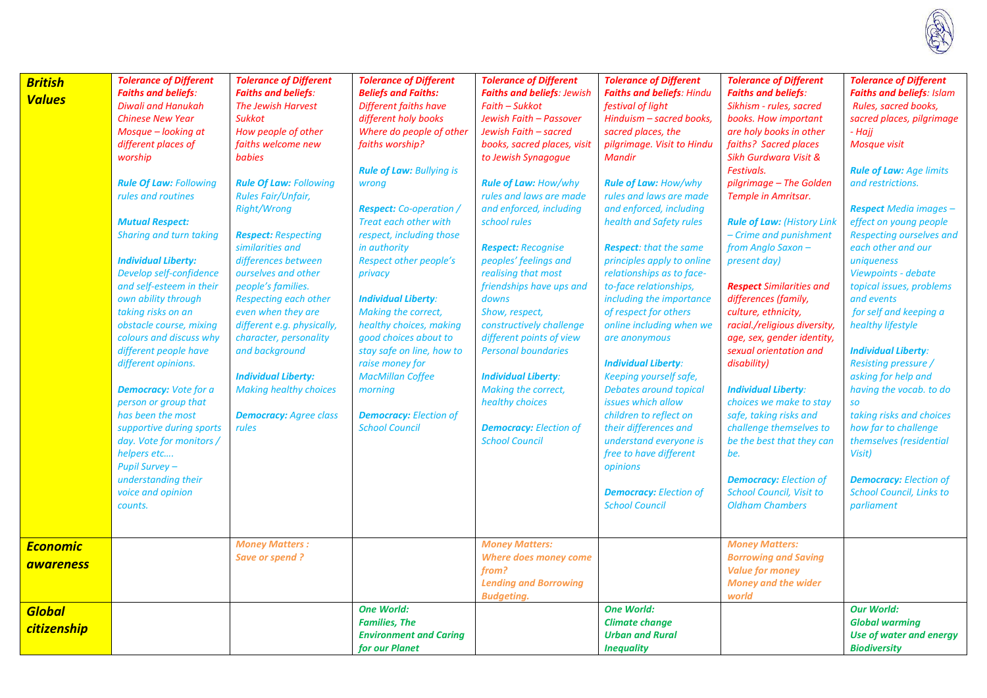| <b>British</b><br><b>Values</b>     | <b>Tolerance of Different</b><br><b>Faiths and beliefs:</b><br><b>Diwali and Hanukah</b><br><b>Chinese New Year</b><br>Mosque - looking at<br>different places of<br>worship<br><b>Rule Of Law: Following</b><br>rules and routines<br><b>Mutual Respect:</b><br>Sharing and turn taking<br><b>Individual Liberty:</b><br>Develop self-confidence<br>and self-esteem in their<br>own ability through<br>taking risks on an<br>obstacle course, mixing<br>colours and discuss why<br>different people have<br>different opinions.<br><b>Democracy:</b> Vote for a<br>person or group that<br>has been the most<br>supportive during sports<br>day. Vote for monitors /<br>helpers etc<br><b>Pupil Survey-</b><br>understanding their<br>voice and opinion<br>counts. | <b>Tolerance of Different</b><br><b>Faiths and beliefs:</b><br>The Jewish Harvest<br><b>Sukkot</b><br>How people of other<br>faiths welcome new<br><b>babies</b><br><b>Rule Of Law: Following</b><br><b>Rules Fair/Unfair,</b><br><b>Right/Wrong</b><br><b>Respect: Respecting</b><br>similarities and<br>differences between<br>ourselves and other<br>people's families.<br>Respecting each other<br>even when they are<br>different e.g. physically,<br>character, personality<br>and background<br><b>Individual Liberty:</b><br><b>Making healthy choices</b><br><b>Democracy: Agree class</b><br>rules | <b>Tolerance of Different</b><br><b>Beliefs and Faiths:</b><br>Different faiths have<br>different holy books<br>Where do people of other<br>faiths worship?<br><b>Rule of Law: Bullying is</b><br>wrong<br><b>Respect:</b> Co-operation /<br><b>Treat each other with</b><br>respect, including those<br>in authority<br>Respect other people's<br>privacy<br><b>Individual Liberty:</b><br>Making the correct,<br>healthy choices, making<br>good choices about to<br>stay safe on line, how to<br>raise money for<br><b>MacMillan Coffee</b><br>morning<br><b>Democracy:</b> Election of<br><b>School Council</b> | <b>Tolerance of Different</b><br><b>Faiths and beliefs: Jewish</b><br>Faith - Sukkot<br>Jewish Faith - Passover<br>Jewish Faith - sacred<br>books, sacred places, visit<br>to Jewish Synagogue<br><b>Rule of Law: How/why</b><br>rules and laws are made<br>and enforced, including<br>school rules<br><b>Respect: Recognise</b><br>peoples' feelings and<br>realising that most<br>friendships have ups and<br>downs<br>Show, respect,<br>constructively challenge<br>different points of view<br><b>Personal boundaries</b><br><b>Individual Liberty:</b><br>Making the correct,<br>healthy choices<br><b>Democracy: Election of</b><br><b>School Council</b> | <b>Tolerance of Different</b><br><b>Faiths and beliefs: Hindu</b><br>festival of light<br>Hinduism - sacred books,<br>sacred places, the<br>pilgrimage. Visit to Hindu<br><b>Mandir</b><br><b>Rule of Law: How/why</b><br>rules and laws are made<br>and enforced, including<br>health and Safety rules<br><b>Respect:</b> that the same<br>principles apply to online<br>relationships as to face-<br>to-face relationships,<br>including the importance<br>of respect for others<br>online including when we<br>are anonymous<br><b>Individual Liberty:</b><br>Keeping yourself safe,<br>Debates around topical<br>issues which allow<br>children to reflect on<br>their differences and<br>understand everyone is<br>free to have different<br><b>opinions</b><br><b>Democracy:</b> Election of<br><b>School Council</b> | <b>Tolerance of Different</b><br><b>Faiths and beliefs:</b><br>Sikhism - rules, sacred<br>books. How important<br>are holy books in other<br>faiths? Sacred places<br>Sikh Gurdwara Visit &<br>Festivals.<br>pilgrimage - The Golden<br>Temple in Amritsar.<br><b>Rule of Law: (History Link</b><br>- Crime and punishment<br>from Anglo Saxon-<br>present day)<br><b>Respect</b> Similarities and<br>differences (family,<br>culture, ethnicity,<br>racial./religious diversity,<br>age, sex, gender identity,<br>sexual orientation and<br>disability)<br><b>Individual Liberty:</b><br>choices we make to stay<br>safe, taking risks and<br>challenge themselves to<br>be the best that they can<br>be.<br><b>Democracy:</b> Election of<br><b>School Council, Visit to</b><br><b>Oldham Chambers</b> | <b>Tolerance of Different</b><br><b>Faiths and beliefs: Islam</b><br>Rules, sacred books,<br>sacred places, pilgrimage<br>- Haii<br><b>Mosque visit</b><br><b>Rule of Law: Age limits</b><br>and restrictions.<br><b>Respect</b> Media images -<br>effect on young people<br><b>Respecting ourselves and</b><br>each other and our<br>uniqueness<br>Viewpoints - debate<br>topical issues, problems<br>and events<br>for self and keeping a<br>healthy lifestyle<br><b>Individual Liberty:</b><br><b>Resisting pressure /</b><br>asking for help and<br>having the vocab. to do<br>taking risks and choices<br>how far to challenge<br>themselves (residential<br>Visit)<br><b>Democracy:</b> Election of<br><b>School Council, Links to</b><br>parliament |
|-------------------------------------|---------------------------------------------------------------------------------------------------------------------------------------------------------------------------------------------------------------------------------------------------------------------------------------------------------------------------------------------------------------------------------------------------------------------------------------------------------------------------------------------------------------------------------------------------------------------------------------------------------------------------------------------------------------------------------------------------------------------------------------------------------------------|--------------------------------------------------------------------------------------------------------------------------------------------------------------------------------------------------------------------------------------------------------------------------------------------------------------------------------------------------------------------------------------------------------------------------------------------------------------------------------------------------------------------------------------------------------------------------------------------------------------|---------------------------------------------------------------------------------------------------------------------------------------------------------------------------------------------------------------------------------------------------------------------------------------------------------------------------------------------------------------------------------------------------------------------------------------------------------------------------------------------------------------------------------------------------------------------------------------------------------------------|-----------------------------------------------------------------------------------------------------------------------------------------------------------------------------------------------------------------------------------------------------------------------------------------------------------------------------------------------------------------------------------------------------------------------------------------------------------------------------------------------------------------------------------------------------------------------------------------------------------------------------------------------------------------|-----------------------------------------------------------------------------------------------------------------------------------------------------------------------------------------------------------------------------------------------------------------------------------------------------------------------------------------------------------------------------------------------------------------------------------------------------------------------------------------------------------------------------------------------------------------------------------------------------------------------------------------------------------------------------------------------------------------------------------------------------------------------------------------------------------------------------|----------------------------------------------------------------------------------------------------------------------------------------------------------------------------------------------------------------------------------------------------------------------------------------------------------------------------------------------------------------------------------------------------------------------------------------------------------------------------------------------------------------------------------------------------------------------------------------------------------------------------------------------------------------------------------------------------------------------------------------------------------------------------------------------------------|------------------------------------------------------------------------------------------------------------------------------------------------------------------------------------------------------------------------------------------------------------------------------------------------------------------------------------------------------------------------------------------------------------------------------------------------------------------------------------------------------------------------------------------------------------------------------------------------------------------------------------------------------------------------------------------------------------------------------------------------------------|
| <b>Economic</b><br><b>awareness</b> |                                                                                                                                                                                                                                                                                                                                                                                                                                                                                                                                                                                                                                                                                                                                                                     | <b>Money Matters:</b><br><b>Save or spend?</b>                                                                                                                                                                                                                                                                                                                                                                                                                                                                                                                                                               |                                                                                                                                                                                                                                                                                                                                                                                                                                                                                                                                                                                                                     | <b>Money Matters:</b><br>Where does money come<br>from?<br><b>Lending and Borrowing</b><br><b>Budgeting.</b>                                                                                                                                                                                                                                                                                                                                                                                                                                                                                                                                                    |                                                                                                                                                                                                                                                                                                                                                                                                                                                                                                                                                                                                                                                                                                                                                                                                                             | <b>Money Matters:</b><br><b>Borrowing and Saving</b><br><b>Value for money</b><br><b>Money and the wider</b><br>world                                                                                                                                                                                                                                                                                                                                                                                                                                                                                                                                                                                                                                                                                    |                                                                                                                                                                                                                                                                                                                                                                                                                                                                                                                                                                                                                                                                                                                                                            |
| <b>Global</b><br><b>citizenship</b> |                                                                                                                                                                                                                                                                                                                                                                                                                                                                                                                                                                                                                                                                                                                                                                     |                                                                                                                                                                                                                                                                                                                                                                                                                                                                                                                                                                                                              | <b>One World:</b><br><b>Families, The</b><br><b>Environment and Caring</b><br>for our Planet                                                                                                                                                                                                                                                                                                                                                                                                                                                                                                                        |                                                                                                                                                                                                                                                                                                                                                                                                                                                                                                                                                                                                                                                                 | <b>One World:</b><br><b>Climate change</b><br><b>Urban and Rural</b><br><b>Inequality</b>                                                                                                                                                                                                                                                                                                                                                                                                                                                                                                                                                                                                                                                                                                                                   |                                                                                                                                                                                                                                                                                                                                                                                                                                                                                                                                                                                                                                                                                                                                                                                                          | <b>Our World:</b><br><b>Global warming</b><br>Use of water and energy<br><b>Biodiversity</b>                                                                                                                                                                                                                                                                                                                                                                                                                                                                                                                                                                                                                                                               |

 $\mathbb{R}$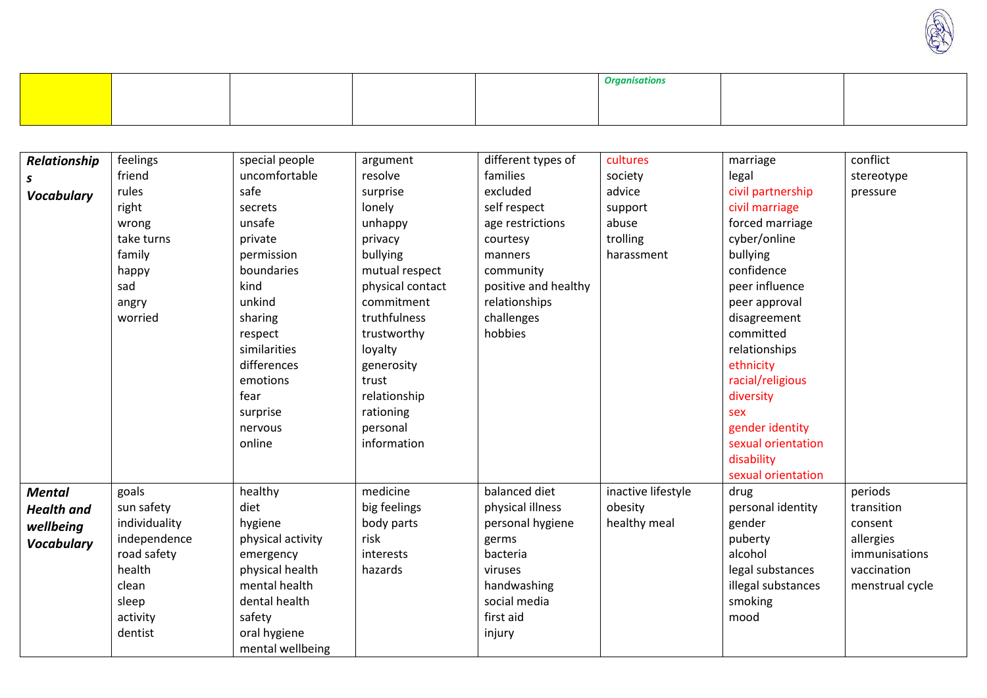

|  |  | Organisation<br>ווטו |  |
|--|--|----------------------|--|
|  |  |                      |  |
|  |  |                      |  |

| Relationship      | feelings      | special people    | argument         | different types of   | cultures           | marriage           | conflict        |
|-------------------|---------------|-------------------|------------------|----------------------|--------------------|--------------------|-----------------|
| S                 | friend        | uncomfortable     | resolve          | families             | society            | legal              | stereotype      |
| <b>Vocabulary</b> | rules         | safe              | surprise         | excluded             | advice             | civil partnership  | pressure        |
|                   | right         | secrets           | lonely           | self respect         | support            | civil marriage     |                 |
|                   | wrong         | unsafe            | unhappy          | age restrictions     | abuse              | forced marriage    |                 |
|                   | take turns    | private           | privacy          | courtesy             | trolling           | cyber/online       |                 |
|                   | family        | permission        | bullying         | manners              | harassment         | bullying           |                 |
|                   | happy         | boundaries        | mutual respect   | community            |                    | confidence         |                 |
|                   | sad           | kind              | physical contact | positive and healthy |                    | peer influence     |                 |
|                   | angry         | unkind            | commitment       | relationships        |                    | peer approval      |                 |
|                   | worried       | sharing           | truthfulness     | challenges           |                    | disagreement       |                 |
|                   |               | respect           | trustworthy      | hobbies              |                    | committed          |                 |
|                   |               | similarities      | loyalty          |                      |                    | relationships      |                 |
|                   |               | differences       | generosity       |                      |                    | ethnicity          |                 |
|                   |               | emotions          | trust            |                      |                    | racial/religious   |                 |
|                   |               | fear              | relationship     |                      |                    | diversity          |                 |
|                   |               | surprise          | rationing        |                      |                    | sex                |                 |
|                   |               | nervous           | personal         |                      |                    | gender identity    |                 |
|                   |               | online            | information      |                      |                    | sexual orientation |                 |
|                   |               |                   |                  |                      |                    | disability         |                 |
|                   |               |                   |                  |                      |                    | sexual orientation |                 |
| <b>Mental</b>     | goals         | healthy           | medicine         | balanced diet        | inactive lifestyle | drug               | periods         |
| <b>Health and</b> | sun safety    | diet              | big feelings     | physical illness     | obesity            | personal identity  | transition      |
| wellbeing         | individuality | hygiene           | body parts       | personal hygiene     | healthy meal       | gender             | consent         |
| <b>Vocabulary</b> | independence  | physical activity | risk             | germs                |                    | puberty            | allergies       |
|                   | road safety   | emergency         | interests        | bacteria             |                    | alcohol            | immunisations   |
|                   | health        | physical health   | hazards          | viruses              |                    | legal substances   | vaccination     |
|                   | clean         | mental health     |                  | handwashing          |                    | illegal substances | menstrual cycle |
|                   | sleep         | dental health     |                  | social media         |                    | smoking            |                 |
|                   | activity      | safety            |                  | first aid            |                    | mood               |                 |
|                   | dentist       | oral hygiene      |                  | injury               |                    |                    |                 |
|                   |               | mental wellbeing  |                  |                      |                    |                    |                 |